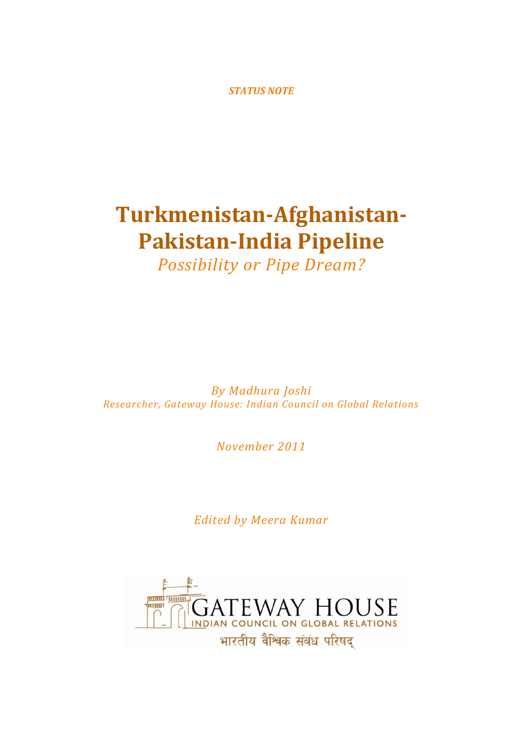*STATUS NOTE*

# **Turkmenistan-Afghanistan-Pakistan-India Pipeline**

*Possibility or Pipe Dream?*

*By Madhura Joshi Researcher, Gateway House: Indian Council on Global Relations*

*November 2011*

*Edited by Meera Kumar*

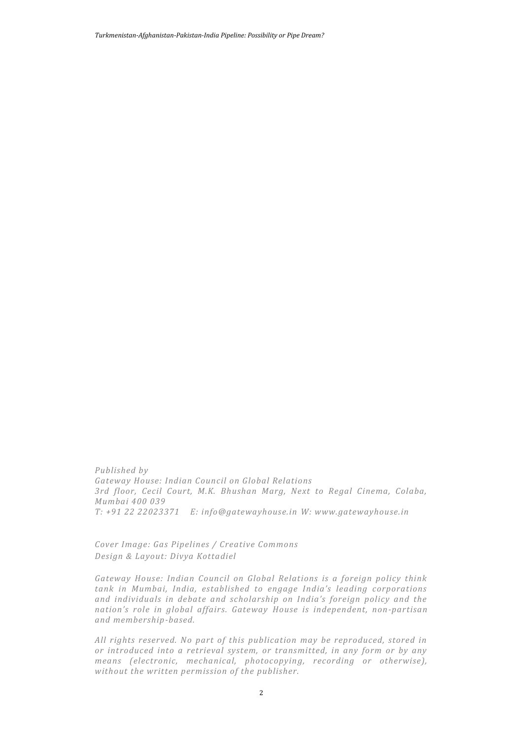*Turkmenistan-Afghanistan-Pakistan-India Pipeline: Possibility or Pipe Dream?*

*Published by Gateway House: Indian Council on Global Relations 3rd floor, Cecil Court, M.K. Bhushan Marg, Next to Regal Cinema, Colaba, Mumbai 400 039 T: +91 22 22023371 E: info@gatewayhouse.in W: www.gatewayhouse.in* 

*Cover Image: Gas Pipelines / Creative Commons Design & Layout: Divya Kottadiel*

*Gateway House: Indian Council on Global Relations is a foreign policy think tank in Mumbai, India, established to engage India's leading corporations and individuals in debate and scholarship on India's foreign policy and the nation's role in global affairs. Gateway House is independent, non-partisan and membership-based.*

*All rights reserved. No part of this publication may be reproduced, stored in or introduced into a retrieval system, or transmitted, in any form or by any means (electronic, mechanical, photocopying, recording or otherwise), without the written permission of the publisher.*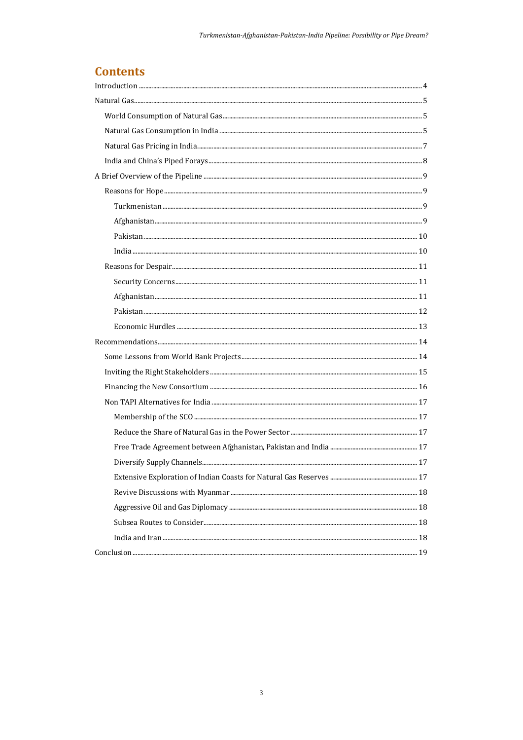# **Contents**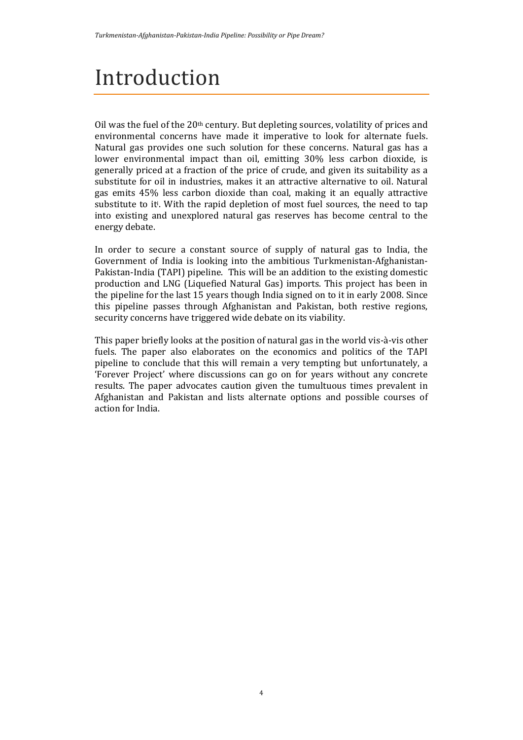# Introduction

Oil was the fuel of the 20th century. But depleting sources, volatility of prices and environmental concerns have made it imperative to look for alternate fuels. Natural gas provides one such solution for these concerns. Natural gas has a lower environmental impact than oil, emitting 30% less carbon dioxide, is generally priced at a fraction of the price of crude, and given its suitability as a substitute for oil in industries, makes it an attractive alternative to oil. Natural gas emits 45% less carbon dioxide than coal, making it an equally attractive substitute to it<sup>i</sup> . With the rapid depletion of most fuel sources, the need to tap into existing and unexplored natural gas reserves has become central to the energy debate.

In order to secure a constant source of supply of natural gas to India, the Government of India is looking into the ambitious Turkmenistan-Afghanistan-Pakistan-India (TAPI) pipeline. This will be an addition to the existing domestic production and LNG (Liquefied Natural Gas) imports. This project has been in the pipeline for the last 15 years though India signed on to it in early 2008. Since this pipeline passes through Afghanistan and Pakistan, both restive regions, security concerns have triggered wide debate on its viability.

This paper briefly looks at the position of natural gas in the world vis-à-vis other fuels. The paper also elaborates on the economics and politics of the TAPI pipeline to conclude that this will remain a very tempting but unfortunately, a 'Forever Project' where discussions can go on for years without any concrete results. The paper advocates caution given the tumultuous times prevalent in Afghanistan and Pakistan and lists alternate options and possible courses of action for India.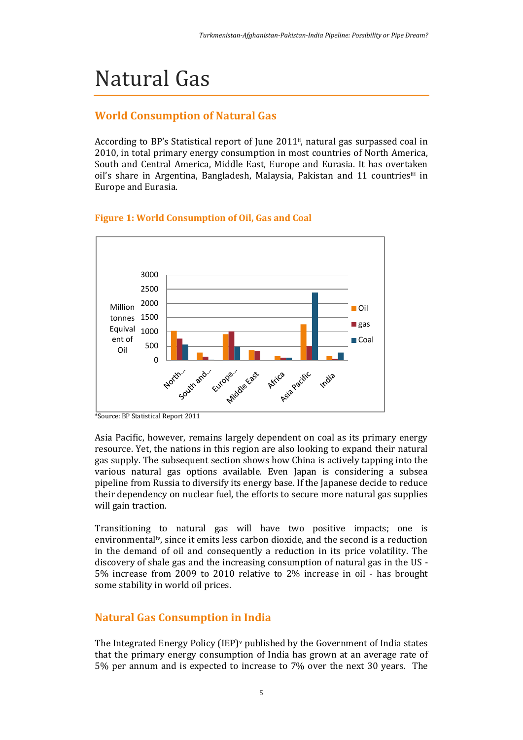# Natural Gas

## **World Consumption of Natural Gas**

According to BP's Statistical report of June 2011<sup>ii</sup>, natural gas surpassed coal in 2010, in total primary energy consumption in most countries of North America, South and Central America, Middle East, Europe and Eurasia. It has overtaken oil's share in Argentina, Bangladesh, Malaysia, Pakistan and 11 countriesiii in Europe and Eurasia.



### **Figure 1: World Consumption of Oil, Gas and Coal**

Asia Pacific, however, remains largely dependent on coal as its primary energy resource. Yet, the nations in this region are also looking to expand their natural gas supply. The subsequent section shows how China is actively tapping into the various natural gas options available. Even Japan is considering a subsea pipeline from Russia to diversify its energy base. If the Japanese decide to reduce their dependency on nuclear fuel, the efforts to secure more natural gas supplies will gain traction.

Transitioning to natural gas will have two positive impacts; one is environmentaliv, since it emits less carbon dioxide, and the second is a reduction in the demand of oil and consequently a reduction in its price volatility. The discovery of shale gas and the increasing consumption of natural gas in the US - 5% increase from 2009 to 2010 relative to 2% increase in oil - has brought some stability in world oil prices.

## **Natural Gas Consumption in India**

The Integrated Energy Policy (IEP)<sup>v</sup> published by the Government of India states that the primary energy consumption of India has grown at an average rate of 5% per annum and is expected to increase to 7% over the next 30 years. The

<sup>\*</sup>Source: BP Statistical Report 2011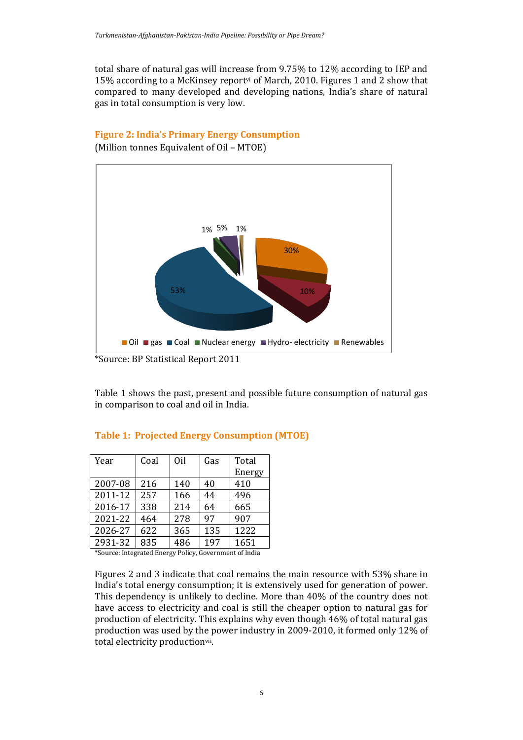total share of natural gas will increase from 9.75% to 12% according to IEP and 15% according to a McKinsey reportvi of March, 2010. Figures 1 and 2 show that compared to many developed and developing nations, India's share of natural gas in total consumption is very low.

### **Figure 2: India's Primary Energy Consumption**

(Million tonnes Equivalent of Oil – MTOE)



Table 1 shows the past, present and possible future consumption of natural gas in comparison to coal and oil in India.

| Year    | Coal | Oil | Gas | Total  |
|---------|------|-----|-----|--------|
|         |      |     |     | Energy |
| 2007-08 | 216  | 140 | 40  | 410    |
| 2011-12 | 257  | 166 | 44  | 496    |
| 2016-17 | 338  | 214 | 64  | 665    |
| 2021-22 | 464  | 278 | 97  | 907    |
| 2026-27 | 622  | 365 | 135 | 1222   |
| 2931-32 | 835  | 486 | 197 | 1651   |
|         |      |     |     |        |

### **Table 1: Projected Energy Consumption (MTOE)**

\*Source: Integrated Energy Policy, Government of India

Figures 2 and 3 indicate that coal remains the main resource with 53% share in India's total energy consumption; it is extensively used for generation of power. This dependency is unlikely to decline. More than 40% of the country does not have access to electricity and coal is still the cheaper option to natural gas for production of electricity. This explains why even though 46% of total natural gas production was used by the power industry in 2009-2010, it formed only 12% of total electricity productionvii.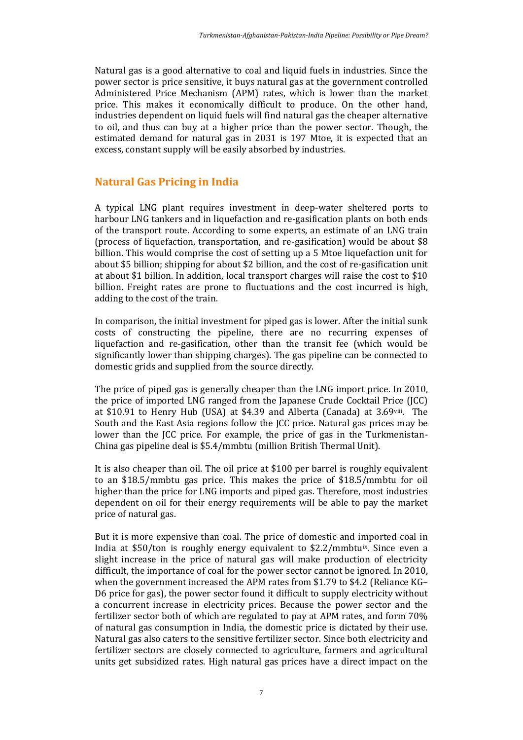Natural gas is a good alternative to coal and liquid fuels in industries. Since the power sector is price sensitive, it buys natural gas at the government controlled Administered Price Mechanism (APM) rates, which is lower than the market price. This makes it economically difficult to produce. On the other hand, industries dependent on liquid fuels will find natural gas the cheaper alternative to oil, and thus can buy at a higher price than the power sector. Though, the estimated demand for natural gas in 2031 is 197 Mtoe, it is expected that an excess, constant supply will be easily absorbed by industries.

## **Natural Gas Pricing in India**

A typical LNG plant requires investment in deep-water sheltered ports to harbour LNG tankers and in liquefaction and re-gasification plants on both ends of the transport route. According to some experts, an estimate of an LNG train (process of liquefaction, transportation, and re-gasification) would be about \$8 billion. This would comprise the cost of setting up a 5 Mtoe liquefaction unit for about \$5 billion; shipping for about \$2 billion, and the cost of re-gasification unit at about \$1 billion. In addition, local transport charges will raise the cost to \$10 billion. Freight rates are prone to fluctuations and the cost incurred is high, adding to the cost of the train.

In comparison, the initial investment for piped gas is lower. After the initial sunk costs of constructing the pipeline, there are no recurring expenses of liquefaction and re-gasification, other than the transit fee (which would be significantly lower than shipping charges). The gas pipeline can be connected to domestic grids and supplied from the source directly.

The price of piped gas is generally cheaper than the LNG import price. In 2010, the price of imported LNG ranged from the Japanese Crude Cocktail Price (JCC) at \$10.91 to Henry Hub (USA) at \$4.39 and Alberta (Canada) at 3.69viii. The South and the East Asia regions follow the JCC price. Natural gas prices may be lower than the JCC price. For example, the price of gas in the Turkmenistan-China gas pipeline deal is \$5.4/mmbtu (million British Thermal Unit).

It is also cheaper than oil. The oil price at \$100 per barrel is roughly equivalent to an \$18.5/mmbtu gas price. This makes the price of \$18.5/mmbtu for oil higher than the price for LNG imports and piped gas. Therefore, most industries dependent on oil for their energy requirements will be able to pay the market price of natural gas.

But it is more expensive than coal. The price of domestic and imported coal in India at  $$50/ton$  is roughly energy equivalent to  $$2.2/mmbtu<sup>ix</sup>$ . Since even a slight increase in the price of natural gas will make production of electricity difficult, the importance of coal for the power sector cannot be ignored. In 2010, when the government increased the APM rates from \$1.79 to \$4.2 (Reliance KG– D6 price for gas), the power sector found it difficult to supply electricity without a concurrent increase in electricity prices. Because the power sector and the fertilizer sector both of which are regulated to pay at APM rates, and form 70% of natural gas consumption in India, the domestic price is dictated by their use. Natural gas also caters to the sensitive fertilizer sector. Since both electricity and fertilizer sectors are closely connected to agriculture, farmers and agricultural units get subsidized rates. High natural gas prices have a direct impact on the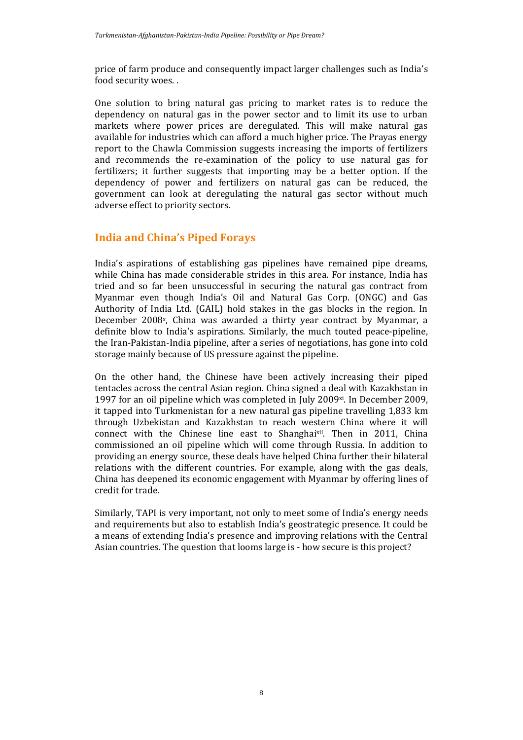price of farm produce and consequently impact larger challenges such as India's food security woes. .

One solution to bring natural gas pricing to market rates is to reduce the dependency on natural gas in the power sector and to limit its use to urban markets where power prices are deregulated. This will make natural gas available for industries which can afford a much higher price. The Prayas energy report to the Chawla Commission suggests increasing the imports of fertilizers and recommends the re-examination of the policy to use natural gas for fertilizers; it further suggests that importing may be a better option. If the dependency of power and fertilizers on natural gas can be reduced, the government can look at deregulating the natural gas sector without much adverse effect to priority sectors.

## **India and China's Piped Forays**

India's aspirations of establishing gas pipelines have remained pipe dreams, while China has made considerable strides in this area. For instance, India has tried and so far been unsuccessful in securing the natural gas contract from Myanmar even though India's Oil and Natural Gas Corp. (ONGC) and Gas Authority of India Ltd. (GAIL) hold stakes in the gas blocks in the region. In December 2008<sup>x</sup>, China was awarded a thirty year contract by Myanmar, a definite blow to India's aspirations. Similarly, the much touted peace-pipeline, the Iran-Pakistan-India pipeline, after a series of negotiations, has gone into cold storage mainly because of US pressure against the pipeline.

On the other hand, the Chinese have been actively increasing their piped tentacles across the central Asian region. China signed a deal with Kazakhstan in 1997 for an oil pipeline which was completed in July 2009 $\alpha$ . In December 2009, it tapped into Turkmenistan for a new natural gas pipeline travelling 1,833 km through Uzbekistan and Kazakhstan to reach western China where it will connect with the Chinese line east to Shanghaixii. Then in 2011, China commissioned an oil pipeline which will come through Russia. In addition to providing an energy source, these deals have helped China further their bilateral relations with the different countries. For example, along with the gas deals, China has deepened its economic engagement with Myanmar by offering lines of credit for trade.

Similarly, TAPI is very important, not only to meet some of India's energy needs and requirements but also to establish India's geostrategic presence. It could be a means of extending India's presence and improving relations with the Central Asian countries. The question that looms large is - how secure is this project?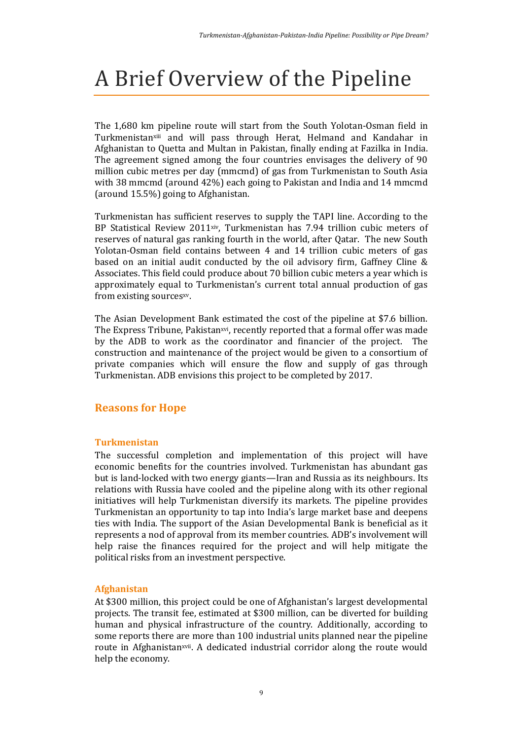# A Brief Overview of the Pipeline

The 1,680 km pipeline route will start from the South Yolotan-Osman field in Turkmenistanxiii and will pass through Herat, Helmand and Kandahar in Afghanistan to Quetta and Multan in Pakistan, finally ending at Fazilka in India. The agreement signed among the four countries envisages the delivery of 90 million cubic metres per day (mmcmd) of gas from Turkmenistan to South Asia with 38 mmcmd (around 42%) each going to Pakistan and India and 14 mmcmd (around 15.5%) going to Afghanistan.

Turkmenistan has sufficient reserves to supply the TAPI line. According to the BP Statistical Review 2011xiv, Turkmenistan has 7.94 trillion cubic meters of reserves of natural gas ranking fourth in the world, after Qatar. The new South Yolotan-Osman field contains between 4 and 14 trillion cubic meters of gas based on an initial audit conducted by the oil advisory firm, Gaffney Cline & Associates. This field could produce about 70 billion cubic meters a year which is approximately equal to Turkmenistan's current total annual production of gas from existing sourcesxv.

The Asian Development Bank estimated the cost of the pipeline at \$7.6 billion. The Express Tribune, Pakistanxvi, recently reported that a formal offer was made by the ADB to work as the coordinator and financier of the project. The construction and maintenance of the project would be given to a consortium of private companies which will ensure the flow and supply of gas through Turkmenistan. ADB envisions this project to be completed by 2017.

## **Reasons for Hope**

### **Turkmenistan**

The successful completion and implementation of this project will have economic benefits for the countries involved. Turkmenistan has abundant gas but is land-locked with two energy giants—Iran and Russia as its neighbours. Its relations with Russia have cooled and the pipeline along with its other regional initiatives will help Turkmenistan diversify its markets. The pipeline provides Turkmenistan an opportunity to tap into India's large market base and deepens ties with India. The support of the Asian Developmental Bank is beneficial as it represents a nod of approval from its member countries. ADB's involvement will help raise the finances required for the project and will help mitigate the political risks from an investment perspective.

#### **Afghanistan**

At \$300 million, this project could be one of Afghanistan's largest developmental projects. The transit fee, estimated at \$300 million, can be diverted for building human and physical infrastructure of the country. Additionally, according to some reports there are more than 100 industrial units planned near the pipeline route in Afghanistan<sup>xvii</sup>. A dedicated industrial corridor along the route would help the economy.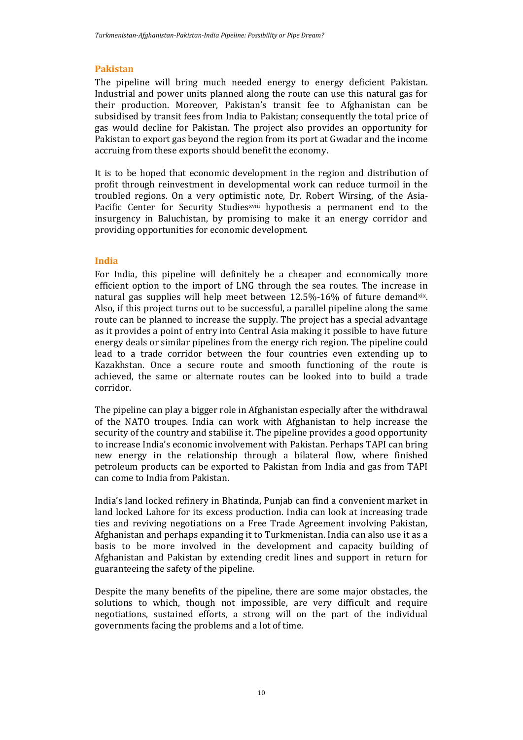#### **Pakistan**

The pipeline will bring much needed energy to energy deficient Pakistan. Industrial and power units planned along the route can use this natural gas for their production. Moreover, Pakistan's transit fee to Afghanistan can be subsidised by transit fees from India to Pakistan; consequently the total price of gas would decline for Pakistan. The project also provides an opportunity for Pakistan to export gas beyond the region from its port at Gwadar and the income accruing from these exports should benefit the economy.

It is to be hoped that economic development in the region and distribution of profit through reinvestment in developmental work can reduce turmoil in the troubled regions. On a very optimistic note, Dr. Robert Wirsing, of the Asia-Pacific Center for Security Studies<sup>xviii</sup> hypothesis a permanent end to the insurgency in Baluchistan, by promising to make it an energy corridor and providing opportunities for economic development.

#### **India**

For India, this pipeline will definitely be a cheaper and economically more efficient option to the import of LNG through the sea routes. The increase in natural gas supplies will help meet between  $12.5\%$ -16% of future demand<sup>xix</sup>. Also, if this project turns out to be successful, a parallel pipeline along the same route can be planned to increase the supply. The project has a special advantage as it provides a point of entry into Central Asia making it possible to have future energy deals or similar pipelines from the energy rich region. The pipeline could lead to a trade corridor between the four countries even extending up to Kazakhstan. Once a secure route and smooth functioning of the route is achieved, the same or alternate routes can be looked into to build a trade corridor.

The pipeline can play a bigger role in Afghanistan especially after the withdrawal of the NATO troupes. India can work with Afghanistan to help increase the security of the country and stabilise it. The pipeline provides a good opportunity to increase India's economic involvement with Pakistan. Perhaps TAPI can bring new energy in the relationship through a bilateral flow, where finished petroleum products can be exported to Pakistan from India and gas from TAPI can come to India from Pakistan.

India's land locked refinery in Bhatinda, Punjab can find a convenient market in land locked Lahore for its excess production. India can look at increasing trade ties and reviving negotiations on a Free Trade Agreement involving Pakistan, Afghanistan and perhaps expanding it to Turkmenistan. India can also use it as a basis to be more involved in the development and capacity building of Afghanistan and Pakistan by extending credit lines and support in return for guaranteeing the safety of the pipeline.

Despite the many benefits of the pipeline, there are some major obstacles, the solutions to which, though not impossible, are very difficult and require negotiations, sustained efforts, a strong will on the part of the individual governments facing the problems and a lot of time.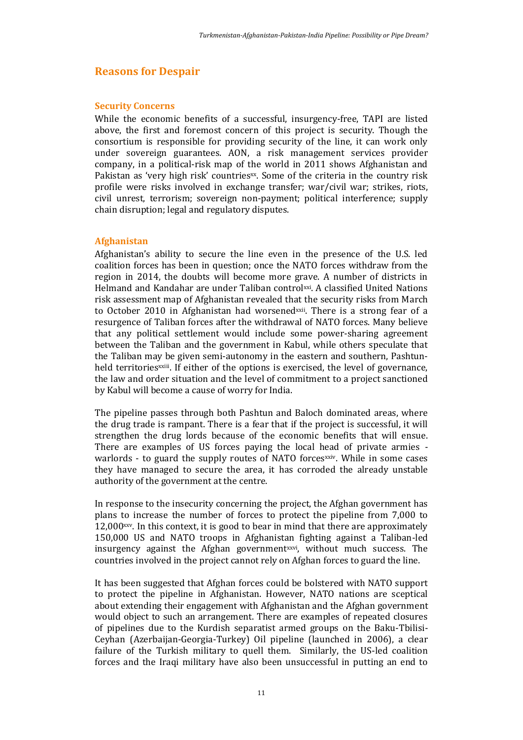### **Reasons for Despair**

#### **Security Concerns**

While the economic benefits of a successful, insurgency-free, TAPI are listed above, the first and foremost concern of this project is security. Though the consortium is responsible for providing security of the line, it can work only under sovereign guarantees. AON, a risk management services provider company, in a political-risk map of the world in 2011 shows Afghanistan and Pakistan as 'very high risk' countries $x$ . Some of the criteria in the country risk profile were risks involved in exchange transfer; war/civil war; strikes, riots, civil unrest, terrorism; sovereign non-payment; political interference; supply chain disruption; legal and regulatory disputes.

#### **Afghanistan**

Afghanistan's ability to secure the line even in the presence of the U.S. led coalition forces has been in question; once the NATO forces withdraw from the region in 2014, the doubts will become more grave. A number of districts in Helmand and Kandahar are under Taliban controlxxi. A classified United Nations risk assessment map of Afghanistan revealed that the security risks from March to October 2010 in Afghanistan had worsened *xxii*. There is a strong fear of a resurgence of Taliban forces after the withdrawal of NATO forces. Many believe that any political settlement would include some power-sharing agreement between the Taliban and the government in Kabul, while others speculate that the Taliban may be given semi-autonomy in the eastern and southern, Pashtunheld territories<sup>xxiii</sup>. If either of the options is exercised, the level of governance, the law and order situation and the level of commitment to a project sanctioned by Kabul will become a cause of worry for India.

The pipeline passes through both Pashtun and Baloch dominated areas, where the drug trade is rampant. There is a fear that if the project is successful, it will strengthen the drug lords because of the economic benefits that will ensue. There are examples of US forces paying the local head of private armies warlords - to guard the supply routes of NATO forces iv. While in some cases they have managed to secure the area, it has corroded the already unstable authority of the government at the centre.

In response to the insecurity concerning the project, the Afghan government has plans to increase the number of forces to protect the pipeline from 7,000 to 12,000xxv. In this context, it is good to bear in mind that there are approximately 150,000 US and NATO troops in Afghanistan fighting against a Taliban-led insurgency against the Afghan governmentxxvi, without much success. The countries involved in the project cannot rely on Afghan forces to guard the line.

It has been suggested that Afghan forces could be bolstered with NATO support to protect the pipeline in Afghanistan. However, NATO nations are sceptical about extending their engagement with Afghanistan and the Afghan government would object to such an arrangement. There are examples of repeated closures of pipelines due to the Kurdish separatist armed groups on the Baku-Tbilisi-Ceyhan (Azerbaijan-Georgia-Turkey) Oil pipeline (launched in 2006), a clear failure of the Turkish military to quell them. Similarly, the US-led coalition forces and the Iraqi military have also been unsuccessful in putting an end to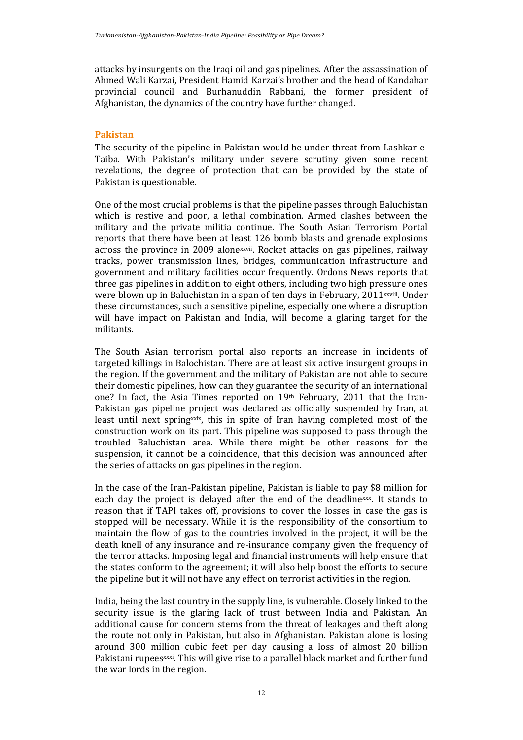attacks by insurgents on the Iraqi oil and gas pipelines. After the assassination of Ahmed Wali Karzai, President Hamid Karzai's brother and the head of Kandahar provincial council and Burhanuddin Rabbani, the former president of Afghanistan, the dynamics of the country have further changed.

### **Pakistan**

The security of the pipeline in Pakistan would be under threat from Lashkar-e-Taiba. With Pakistan's military under severe scrutiny given some recent revelations, the degree of protection that can be provided by the state of Pakistan is questionable.

One of the most crucial problems is that the pipeline passes through Baluchistan which is restive and poor, a lethal combination. Armed clashes between the military and the private militia continue. The South Asian Terrorism Portal reports that there have been at least 126 bomb blasts and grenade explosions across the province in 2009 alonexxvii. Rocket attacks on gas pipelines, railway tracks, power transmission lines, bridges, communication infrastructure and government and military facilities occur frequently. Ordons News reports that three gas pipelines in addition to eight others, including two high pressure ones were blown up in Baluchistan in a span of ten days in February,  $2011$ <sup>xxviii</sup>. Under these circumstances, such a sensitive pipeline, especially one where a disruption will have impact on Pakistan and India, will become a glaring target for the militants.

The South Asian terrorism portal also reports an increase in incidents of targeted killings in Balochistan. There are at least six active insurgent groups in the region. If the government and the military of Pakistan are not able to secure their domestic pipelines, how can they guarantee the security of an international one? In fact, the Asia Times reported on 19th February, 2011 that the Iran-Pakistan gas pipeline project was declared as officially suspended by Iran, at least until next springxxix, this in spite of Iran having completed most of the construction work on its part. This pipeline was supposed to pass through the troubled Baluchistan area. While there might be other reasons for the suspension, it cannot be a coincidence, that this decision was announced after the series of attacks on gas pipelines in the region.

In the case of the Iran-Pakistan pipeline, Pakistan is liable to pay \$8 million for each day the project is delayed after the end of the deadlinexx. It stands to reason that if TAPI takes off, provisions to cover the losses in case the gas is stopped will be necessary. While it is the responsibility of the consortium to maintain the flow of gas to the countries involved in the project, it will be the death knell of any insurance and re-insurance company given the frequency of the terror attacks. Imposing legal and financial instruments will help ensure that the states conform to the agreement; it will also help boost the efforts to secure the pipeline but it will not have any effect on terrorist activities in the region.

India, being the last country in the supply line, is vulnerable. Closely linked to the security issue is the glaring lack of trust between India and Pakistan. An additional cause for concern stems from the threat of leakages and theft along the route not only in Pakistan, but also in Afghanistan. Pakistan alone is losing around 300 million cubic feet per day causing a loss of almost 20 billion Pakistani rupees<sup>xxxi</sup>. This will give rise to a parallel black market and further fund the war lords in the region.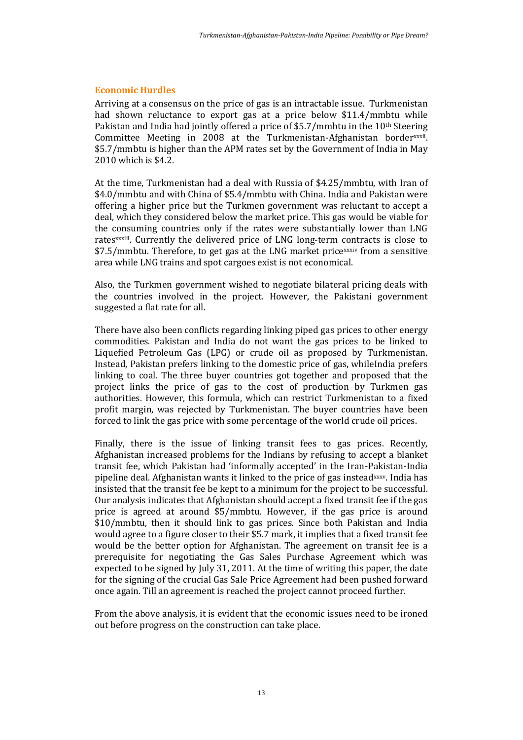#### **Economic Hurdles**

Arriving at a consensus on the price of gas is an intractable issue. Turkmenistan had shown reluctance to export gas at a price below \$11.4/mmbtu while Pakistan and India had jointly offered a price of \$5.7/mmbtu in the 10th Steering Committee Meeting in 2008 at the Turkmenistan-Afghanistan borderxxxii. \$5.7/mmbtu is higher than the APM rates set by the Government of India in May 2010 which is \$4.2.

At the time, Turkmenistan had a deal with Russia of \$4.25/mmbtu, with Iran of \$4.0/mmbtu and with China of \$5.4/mmbtu with China. India and Pakistan were offering a higher price but the Turkmen government was reluctant to accept a deal, which they considered below the market price. This gas would be viable for the consuming countries only if the rates were substantially lower than LNG ratesxxxiii. Currently the delivered price of LNG long-term contracts is close to \$7.5/mmbtu. Therefore, to get gas at the LNG market pricexxxiv from a sensitive area while LNG trains and spot cargoes exist is not economical.

Also, the Turkmen government wished to negotiate bilateral pricing deals with the countries involved in the project. However, the Pakistani government suggested a flat rate for all.

There have also been conflicts regarding linking piped gas prices to other energy commodities. Pakistan and India do not want the gas prices to be linked to Liquefied Petroleum Gas (LPG) or crude oil as proposed by Turkmenistan. Instead, Pakistan prefers linking to the domestic price of gas, whileIndia prefers linking to coal. The three buyer countries got together and proposed that the project links the price of gas to the cost of production by Turkmen gas authorities. However, this formula, which can restrict Turkmenistan to a fixed profit margin, was rejected by Turkmenistan. The buyer countries have been forced to link the gas price with some percentage of the world crude oil prices.

Finally, there is the issue of linking transit fees to gas prices. Recently, Afghanistan increased problems for the Indians by refusing to accept a blanket transit fee, which Pakistan had 'informally accepted' in the Iran-Pakistan-India pipeline deal. Afghanistan wants it linked to the price of gas insteadxxxv. India has insisted that the transit fee be kept to a minimum for the project to be successful. Our analysis indicates that Afghanistan should accept a fixed transit fee if the gas price is agreed at around \$5/mmbtu. However, if the gas price is around \$10/mmbtu, then it should link to gas prices. Since both Pakistan and India would agree to a figure closer to their \$5.7 mark, it implies that a fixed transit fee would be the better option for Afghanistan. The agreement on transit fee is a prerequisite for negotiating the Gas Sales Purchase Agreement which was expected to be signed by July 31, 2011. At the time of writing this paper, the date for the signing of the crucial Gas Sale Price Agreement had been pushed forward once again. Till an agreement is reached the project cannot proceed further.

From the above analysis, it is evident that the economic issues need to be ironed out before progress on the construction can take place.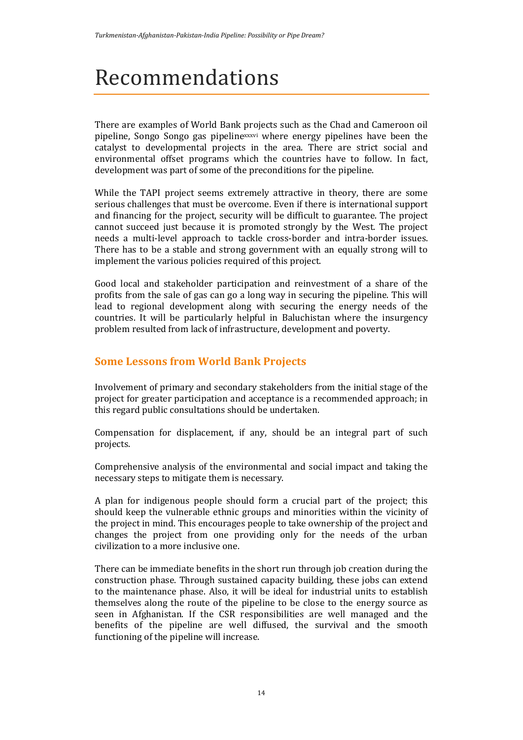# Recommendations

There are examples of World Bank projects such as the Chad and Cameroon oil pipeline, Songo Songo gas pipelinexxxvi where energy pipelines have been the catalyst to developmental projects in the area. There are strict social and environmental offset programs which the countries have to follow. In fact, development was part of some of the preconditions for the pipeline.

While the TAPI project seems extremely attractive in theory, there are some serious challenges that must be overcome. Even if there is international support and financing for the project, security will be difficult to guarantee. The project cannot succeed just because it is promoted strongly by the West. The project needs a multi-level approach to tackle cross-border and intra-border issues. There has to be a stable and strong government with an equally strong will to implement the various policies required of this project.

Good local and stakeholder participation and reinvestment of a share of the profits from the sale of gas can go a long way in securing the pipeline. This will lead to regional development along with securing the energy needs of the countries. It will be particularly helpful in Baluchistan where the insurgency problem resulted from lack of infrastructure, development and poverty.

## **Some Lessons from World Bank Projects**

Involvement of primary and secondary stakeholders from the initial stage of the project for greater participation and acceptance is a recommended approach; in this regard public consultations should be undertaken.

Compensation for displacement, if any, should be an integral part of such projects.

Comprehensive analysis of the environmental and social impact and taking the necessary steps to mitigate them is necessary.

A plan for indigenous people should form a crucial part of the project; this should keep the vulnerable ethnic groups and minorities within the vicinity of the project in mind. This encourages people to take ownership of the project and changes the project from one providing only for the needs of the urban civilization to a more inclusive one.

There can be immediate benefits in the short run through job creation during the construction phase. Through sustained capacity building, these jobs can extend to the maintenance phase. Also, it will be ideal for industrial units to establish themselves along the route of the pipeline to be close to the energy source as seen in Afghanistan. If the CSR responsibilities are well managed and the benefits of the pipeline are well diffused, the survival and the smooth functioning of the pipeline will increase.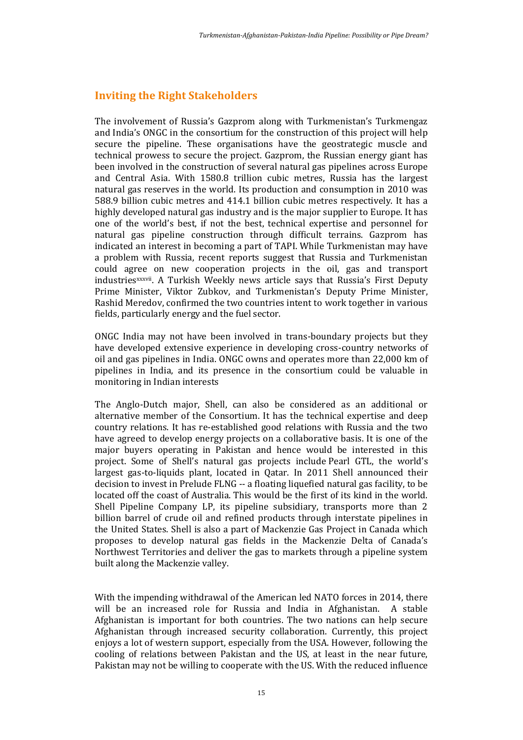## **Inviting the Right Stakeholders**

The involvement of Russia's Gazprom along with Turkmenistan's Turkmengaz and India's ONGC in the consortium for the construction of this project will help secure the pipeline. These organisations have the geostrategic muscle and technical prowess to secure the project. Gazprom, the Russian energy giant has been involved in the construction of several natural gas pipelines across Europe and Central Asia. With 1580.8 trillion cubic metres, Russia has the largest natural gas reserves in the world. Its production and consumption in 2010 was 588.9 billion cubic metres and 414.1 billion cubic metres respectively. It has a highly developed natural gas industry and is the major supplier to Europe. It has one of the world's best, if not the best, technical expertise and personnel for natural gas pipeline construction through difficult terrains. Gazprom has indicated an interest in becoming a part of TAPI. While Turkmenistan may have a problem with Russia, recent reports suggest that Russia and Turkmenistan could agree on new cooperation projects in the oil, gas and transport industriesxxxvii. A Turkish Weekly news article says that Russia's First Deputy Prime Minister, Viktor Zubkov, and Turkmenistan's Deputy Prime Minister, Rashid Meredov, confirmed the two countries intent to work together in various fields, particularly energy and the fuel sector.

ONGC India may not have been involved in trans-boundary projects but they have developed extensive experience in developing cross-country networks of oil and gas pipelines in India. ONGC owns and operates more than 22,000 km of pipelines in India, and its presence in the consortium could be valuable in monitoring in Indian interests

The Anglo-Dutch major, Shell, can also be considered as an additional or alternative member of the Consortium. It has the technical expertise and deep country relations. It has re-established good relations with Russia and the two have agreed to develop energy projects on a collaborative basis. It is one of the major buyers operating in Pakistan and hence would be interested in this project. Some of Shell's natural gas projects include [Pearl GTL](http://www.shell.com/home/content/aboutshell/our_strategy/major_projects_2/pearl/), the world's largest gas-to-liquids plant, located in Qatar. In 2011 Shell announced their decision to invest in [Prelude FLNG](http://www.shell.com/home/content/aboutshell/our_strategy/major_projects_2/prelude_flng/) -- a floating liquefied natural gas facility, to be located off the coast of Australia. This would be the first of its kind in the world. Shell Pipeline Company LP, its pipeline subsidiary, transports more than 2 billion barrel of crude oil and refined products through interstate pipelines in the United States. Shell is also a part of Mackenzie Gas Project in Canada which proposes to develop natural gas fields in the Mackenzie Delta of Canada's Northwest Territories and deliver the gas to markets through a pipeline system built along the Mackenzie valley.

With the impending withdrawal of the American led NATO forces in 2014, there will be an increased role for Russia and India in Afghanistan. A stable Afghanistan is important for both countries. The two nations can help secure Afghanistan through increased security collaboration. Currently, this project enjoys a lot of western support, especially from the USA. However, following the cooling of relations between Pakistan and the US, at least in the near future, Pakistan may not be willing to cooperate with the US. With the reduced influence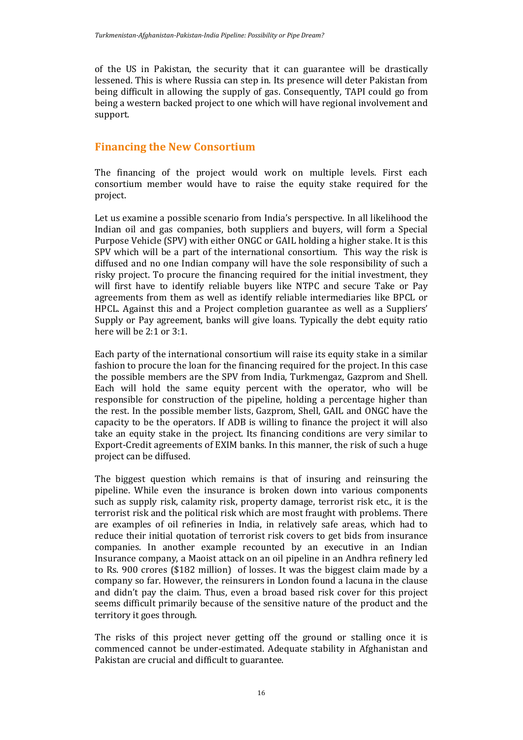of the US in Pakistan, the security that it can guarantee will be drastically lessened. This is where Russia can step in. Its presence will deter Pakistan from being difficult in allowing the supply of gas. Consequently, TAPI could go from being a western backed project to one which will have regional involvement and support.

## **Financing the New Consortium**

The financing of the project would work on multiple levels. First each consortium member would have to raise the equity stake required for the project.

Let us examine a possible scenario from India's perspective. In all likelihood the Indian oil and gas companies, both suppliers and buyers, will form a Special Purpose Vehicle (SPV) with either ONGC or GAIL holding a higher stake. It is this SPV which will be a part of the international consortium. This way the risk is diffused and no one Indian company will have the sole responsibility of such a risky project. To procure the financing required for the initial investment, they will first have to identify reliable buyers like NTPC and secure Take or Pay agreements from them as well as identify reliable intermediaries like BPCL or HPCL. Against this and a Project completion guarantee as well as a Suppliers' Supply or Pay agreement, banks will give loans. Typically the debt equity ratio here will be 2:1 or 3:1.

Each party of the international consortium will raise its equity stake in a similar fashion to procure the loan for the financing required for the project. In this case the possible members are the SPV from India, Turkmengaz, Gazprom and Shell. Each will hold the same equity percent with the operator, who will be responsible for construction of the pipeline, holding a percentage higher than the rest. In the possible member lists, Gazprom, Shell, GAIL and ONGC have the capacity to be the operators. If ADB is willing to finance the project it will also take an equity stake in the project. Its financing conditions are very similar to Export-Credit agreements of EXIM banks. In this manner, the risk of such a huge project can be diffused.

The biggest question which remains is that of insuring and reinsuring the pipeline. While even the insurance is broken down into various components such as supply risk, calamity risk, property damage, terrorist risk etc., it is the terrorist risk and the political risk which are most fraught with problems. There are examples of oil refineries in India, in relatively safe areas, which had to reduce their initial quotation of terrorist risk covers to get bids from insurance companies. In another example recounted by an executive in an Indian Insurance company, a Maoist attack on an oil pipeline in an Andhra refinery led to Rs. 900 crores (\$182 million) of losses. It was the biggest claim made by a company so far. However, the reinsurers in London found a lacuna in the clause and didn't pay the claim. Thus, even a broad based risk cover for this project seems difficult primarily because of the sensitive nature of the product and the territory it goes through.

The risks of this project never getting off the ground or stalling once it is commenced cannot be under-estimated. Adequate stability in Afghanistan and Pakistan are crucial and difficult to guarantee.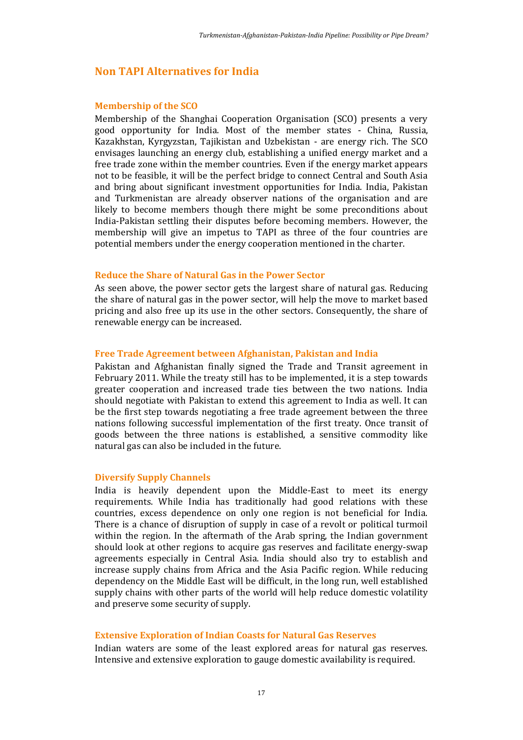### **Non TAPI Alternatives for India**

#### **Membership of the SCO**

Membership of the Shanghai Cooperation Organisation (SCO) presents a very good opportunity for India. Most of the member states - China, Russia, Kazakhstan, Kyrgyzstan, Tajikistan and Uzbekistan - are energy rich. The SCO envisages launching an energy club, establishing a unified energy market and a free trade zone within the member countries. Even if the energy market appears not to be feasible, it will be the perfect bridge to connect Central and South Asia and bring about significant investment opportunities for India. India, Pakistan and Turkmenistan are already observer nations of the organisation and are likely to become members though there might be some preconditions about India-Pakistan settling their disputes before becoming members. However, the membership will give an impetus to TAPI as three of the four countries are potential members under the energy cooperation mentioned in the charter.

#### **Reduce the Share of Natural Gas in the Power Sector**

As seen above, the power sector gets the largest share of natural gas. Reducing the share of natural gas in the power sector, will help the move to market based pricing and also free up its use in the other sectors. Consequently, the share of renewable energy can be increased.

#### **Free Trade Agreement between Afghanistan, Pakistan and India**

Pakistan and Afghanistan finally signed the Trade and Transit agreement in February 2011. While the treaty still has to be implemented, it is a step towards greater cooperation and increased trade ties between the two nations. India should negotiate with Pakistan to extend this agreement to India as well. It can be the first step towards negotiating a free trade agreement between the three nations following successful implementation of the first treaty. Once transit of goods between the three nations is established, a sensitive commodity like natural gas can also be included in the future.

#### **Diversify Supply Channels**

India is heavily dependent upon the Middle-East to meet its energy requirements. While India has traditionally had good relations with these countries, excess dependence on only one region is not beneficial for India. There is a chance of disruption of supply in case of a revolt or political turmoil within the region. In the aftermath of the Arab spring, the Indian government should look at other regions to acquire gas reserves and facilitate energy-swap agreements especially in Central Asia. India should also try to establish and increase supply chains from Africa and the Asia Pacific region. While reducing dependency on the Middle East will be difficult, in the long run, well established supply chains with other parts of the world will help reduce domestic volatility and preserve some security of supply.

#### **Extensive Exploration of Indian Coasts for Natural Gas Reserves**

Indian waters are some of the least explored areas for natural gas reserves. Intensive and extensive exploration to gauge domestic availability is required.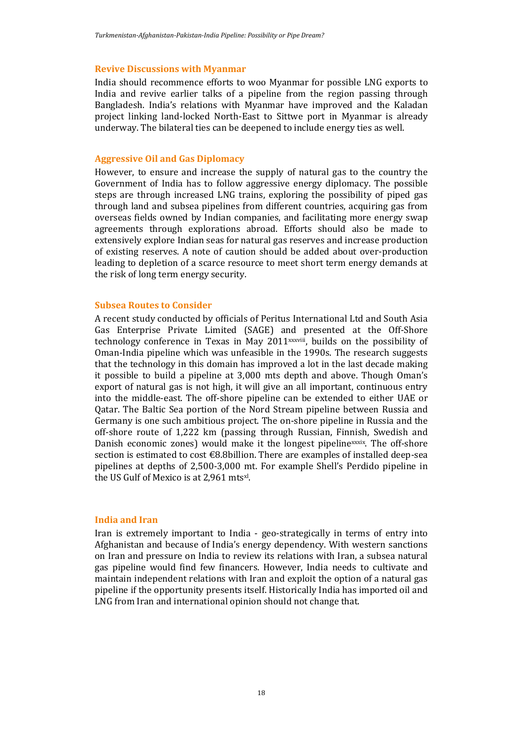#### **Revive Discussions with Myanmar**

India should recommence efforts to woo Myanmar for possible LNG exports to India and revive earlier talks of a pipeline from the region passing through Bangladesh. India's relations with Myanmar have improved and the Kaladan project linking land-locked North-East to Sittwe port in Myanmar is already underway. The bilateral ties can be deepened to include energy ties as well.

#### **Aggressive Oil and Gas Diplomacy**

However, to ensure and increase the supply of natural gas to the country the Government of India has to follow aggressive energy diplomacy. The possible steps are through increased LNG trains, exploring the possibility of piped gas through land and subsea pipelines from different countries, acquiring gas from overseas fields owned by Indian companies, and facilitating more energy swap agreements through explorations abroad. Efforts should also be made to extensively explore Indian seas for natural gas reserves and increase production of existing reserves. A note of caution should be added about over-production leading to depletion of a scarce resource to meet short term energy demands at the risk of long term energy security.

#### **Subsea Routes to Consider**

A recent study conducted by officials of Peritus International Ltd and South Asia Gas Enterprise Private Limited (SAGE) and presented at the Off-Shore technology conference in Texas in May 2011xxxviii, builds on the possibility of Oman-India pipeline which was unfeasible in the 1990s. The research suggests that the technology in this domain has improved a lot in the last decade making it possible to build a pipeline at 3,000 mts depth and above. Though Oman's export of natural gas is not high, it will give an all important, continuous entry into the middle-east. The off-shore pipeline can be extended to either UAE or Qatar. The Baltic Sea portion of the Nord Stream pipeline between Russia and Germany is one such ambitious project. The on-shore pipeline in Russia and the off-shore route of 1,222 km (passing through Russian, Finnish, Swedish and Danish economic zones) would make it the longest pipelinexxxix. The off-shore section is estimated to cost €8.8billion. There are examples of installed deep-sea pipelines at depths of 2,500-3,000 mt. For example Shell's Perdido pipeline in the US Gulf of Mexico is at 2,961 mtsxl.

#### **India and Iran**

Iran is extremely important to India - geo-strategically in terms of entry into Afghanistan and because of India's energy dependency. With western sanctions on Iran and pressure on India to review its relations with Iran, a subsea natural gas pipeline would find few financers. However, India needs to cultivate and maintain independent relations with Iran and exploit the option of a natural gas pipeline if the opportunity presents itself. Historically India has imported oil and LNG from Iran and international opinion should not change that.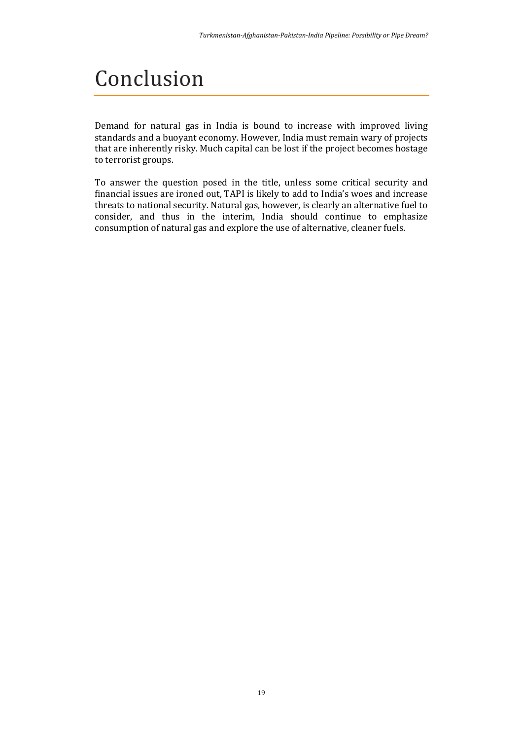# Conclusion

Demand for natural gas in India is bound to increase with improved living standards and a buoyant economy. However, India must remain wary of projects that are inherently risky. Much capital can be lost if the project becomes hostage to terrorist groups.

To answer the question posed in the title, unless some critical security and financial issues are ironed out, TAPI is likely to add to India's woes and increase threats to national security. Natural gas, however, is clearly an alternative fuel to consider, and thus in the interim, India should continue to emphasize consumption of natural gas and explore the use of alternative, cleaner fuels.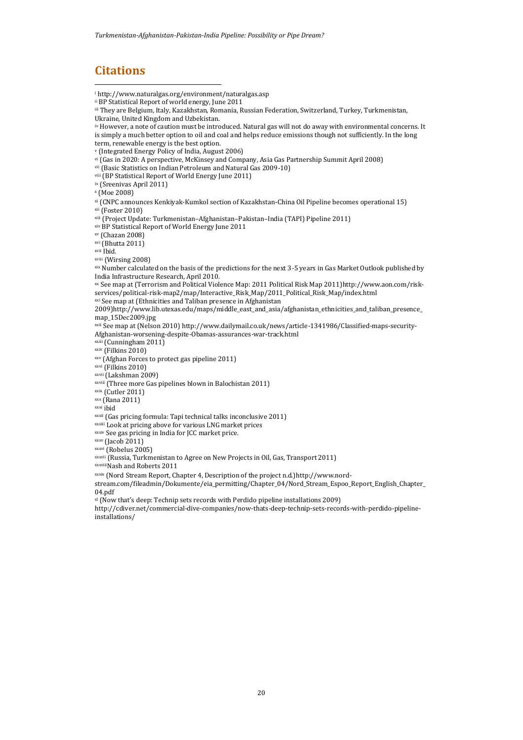## **Citations**

1

<sup>i</sup> <http://www.naturalgas.org/environment/naturalgas.asp> ii BP Statistical Report of world energy, June 2011 iii They are Belgium, Italy, Kazakhstan, Romania, Russian Federation, Switzerland, Turkey, Turkmenistan, Ukraine, United Kingdom and Uzbekistan.

iv However, a note of caution must be introduced. Natural gas will not do away with environmental concerns. It is simply a much better option to oil and coal and helps reduce emissions though not sufficiently. In the long term, renewable energy is the best option.

<sup>v</sup> (Integrated Energy Policy of India, August 2006)

vi (Gas in 2020: A perspective, McKinsey and Company, Asia Gas Partnership Summit April 2008)

- vii (Basic Statistics on Indian Petroleum and Natural Gas 2009-10)
- viii (BP Statistical Report of World Energy June 2011)

ix (Sreenivas April 2011)

<sup>x</sup> (Moe 2008)

xi (CNPC announces Kenkiyak-Kumkol section of Kazakhstan-China Oil Pipeline becomes operational 15) xii (Foster 2010)

xiii (Project Update: Turkmenistan–Afghanistan–Pakistan–India (TAPI) Pipeline 2011)

xiv BP Statistical Report of World Energy June 2011

xv (Chazan 2008)

xvi (Bhutta 2011)

xvii Ibid.

xviii (Wirsing 2008)

xix Number calculated on the basis of the predictions for the next 3-5 years in Gas Market Outlook published by India Infrastructure Research, April 2010.

xx See map at (Terrorism and Political Violence Map: 2011 Political Risk Map 2011)http://www.aon.com/riskservices/political-risk-map2/map/Interactive\_Risk\_Map/2011\_Political\_Risk\_Map/index.html

xxi See map at (Ethnicities and Taliban presence in Afghanistan 2009[\)http://www.lib.utexas.edu/maps/middle\\_east\\_and\\_asia/afghanistan\\_ethnicities\\_and\\_taliban\\_presence\\_](http://www.lib.utexas.edu/maps/middle_east_and_asia/afghanistan_ethnicities_and_taliban_presence_map_15Dec2009.jpg)

[map\\_15Dec2009.jpg](http://www.lib.utexas.edu/maps/middle_east_and_asia/afghanistan_ethnicities_and_taliban_presence_map_15Dec2009.jpg)

xxii See map at (Nelson 2010) [http://www.dailymail.co.uk/news/article-1341986/Classified-maps-security-](http://www.dailymail.co.uk/news/article-1341986/Classified-maps-security-Afghanistan-worsening-despite-Obamas-assurances-war-track.html)

[Afghanistan-worsening-despite-Obamas-assurances-war-track.html](http://www.dailymail.co.uk/news/article-1341986/Classified-maps-security-Afghanistan-worsening-despite-Obamas-assurances-war-track.html)

xxiii (Cunningham 2011)

xxiv (Filkins 2010)

xxv (Afghan Forces to protect gas pipeline 2011)

xxvi (Filkins 2010)

xxvii (Lakshman 2009)

xxviii (Three more Gas pipelines blown in Balochistan 2011)

 $x$ xix (Cutler 2011)

 $xxx$  (Rana 2011)

xxxi ibid

xxxii (Gas pricing formula: Tapi technical talks inconclusive 2011)

xxxiii Look at pricing above for various LNG market prices

xxxiv See gas pricing in India for JCC market price.

 $xxxx$  (Jacob 2011)

 $x$ xxvi $\overline{(Rohelus 2005)}$ 

xxxvii (Russia, Turkmenistan to Agree on New Projects in Oil, Gas, Transport 2011)

xxxviiiNash and Roberts 2011

xxxix (Nord Stream Report, Chapter 4, Description of the project n.d.[\)http://www.nord-](http://www.nord-stream.com/fileadmin/Dokumente/eia_permitting/Chapter_04/Nord_Stream_Espoo_Report_English_Chapter_04.pdf)

[stream.com/fileadmin/Dokumente/eia\\_permitting/Chapter\\_04/Nord\\_Stream\\_Espoo\\_Report\\_English\\_Chapter\\_](http://www.nord-stream.com/fileadmin/Dokumente/eia_permitting/Chapter_04/Nord_Stream_Espoo_Report_English_Chapter_04.pdf) [04.pdf](http://www.nord-stream.com/fileadmin/Dokumente/eia_permitting/Chapter_04/Nord_Stream_Espoo_Report_English_Chapter_04.pdf)

xl (Now that's deep: Technip sets records with Perdido pipeline installations 2009)

[http://cdiver.net/commercial-dive-companies/now-thats-deep-technip-sets-records-with-perdido-pipeline](http://cdiver.net/commercial-dive-companies/now-thats-deep-technip-sets-records-with-perdido-pipeline-installations/)[installations/](http://cdiver.net/commercial-dive-companies/now-thats-deep-technip-sets-records-with-perdido-pipeline-installations/)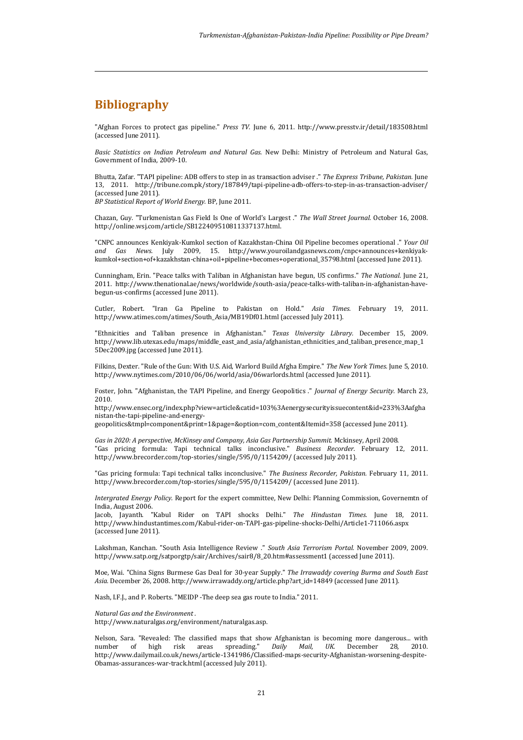## **Bibliography**

1

"Afghan Forces to protect gas pipeline." *Press TV.* June 6, 2011. http://www.presstv.ir/detail/183508.html (accessed June 2011).

*Basic Statistics on Indian Petroleum and Natural Gas.* New Delhi: Ministry of Petroleum and Natural Gas, Government of India, 2009-10.

Bhutta, Zafar. "TAPI pipeline: ADB offers to step in as transaction adviser ." *The Express Tribune, Pakistan.* June 13, 2011. http://tribune.com.pk/story/187849/tapi-pipeline-adb-offers-to-step-in-as-transaction-adviser/ (accessed June 2011).

*BP Statistical Report of World Energy.* BP, June 2011.

Chazan, Guy. "Turkmenistan Gas Field Is One of World's Largest ." *The Wall Street Journal.* October 16, 2008. http://online.wsj.com/article/SB122409510811337137.html.

"CNPC announces Kenkiyak-Kumkol section of Kazakhstan-China Oil Pipeline becomes operational ." *Your Oil and Gas News.* July 2009, 15. http://www.youroilandgasnews.com/cnpc+announces+kenkiyakkumkol+section+of+kazakhstan-china+oil+pipeline+becomes+operational\_35798.html (accessed June 2011).

Cunningham, Erin. "Peace talks with Taliban in Afghanistan have begun, US confirms." *The National.* June 21, 2011. http://www.thenational.ae/news/worldwide/south-asia/peace-talks-with-taliban-in-afghanistan-havebegun-us-confirms (accessed June 2011).

Cutler, Robert. "Iran Ga Pipeline to Pakistan on Hold." *Asia Times.* February 19, 2011. http://www.atimes.com/atimes/South\_Asia/MB19Df01.html (accessed July 2011).

"Ethnicities and Taliban presence in Afghanistan." *Texas University Library.* December 15, 2009. http://www.lib.utexas.edu/maps/middle\_east\_and\_asia/afghanistan\_ethnicities\_and\_taliban\_presence\_map\_1 5Dec2009.jpg (accessed June 2011).

Filkins, Dexter. "Rule of the Gun: With U.S. Aid, Warlord Build Afgha Empire." *The New York Times.* June 5, 2010. http://www.nytimes.com/2010/06/06/world/asia/06warlords.html (accessed June 2011).

Foster, John. "Afghanistan, the TAPI Pipeline, and Energy Geopolitics ." *Journal of Energy Security.* March 23, 2010.

http://www.ensec.org/index.php?view=article&catid=103%3Aenergysecurityissuecontent&id=233%3Aafgha nistan-the-tapi-pipeline-and-energy-

geopolitics&tmpl=component&print=1&page=&option=com\_content&Itemid=358 (accessed June 2011).

*Gas in 2020: A perspective, McKinsey and Company, Asia Gas Partnership Summit.* Mckinsey, April 2008. "Gas pricing formula: Tapi technical talks inconclusive." *Business Recorder.* February 12, 2011. http://www.brecorder.com/top-stories/single/595/0/1154209/ (accessed July 2011).

"Gas pricing formula: Tapi technical talks inconclusive." *The Business Recorder, Pakistan.* February 11, 2011. http://www.brecorder.com/top-stories/single/595/0/1154209/ (accessed June 2011).

*Intergrated Energy Policy.* Report for the expert committee, New Delhi: Planning Commission, Governemtn of India, August 2006.

Jacob, Jayanth. "Kabul Rider on TAPI shocks Delhi." *The Hindustan Times.* June 18, 2011. http://www.hindustantimes.com/Kabul-rider-on-TAPI-gas-pipeline-shocks-Delhi/Article1-711066.aspx (accessed June 2011).

Lakshman, Kanchan. "South Asia Intelligence Review ." *South Asia Terrorism Portal.* November 2009, 2009. http://www.satp.org/satporgtp/sair/Archives/sair8/8\_20.htm#assessment1 (accessed June 2011).

Moe, Wai. "China Signs Burmese Gas Deal for 30-year Supply." *The Irrawaddy covering Burma and South East Asia.* December 26, 2008. http://www.irrawaddy.org/article.php?art\_id=14849 (accessed June 2011).

Nash, I.F.J., and P. Roberts. "MEIDP -The deep sea gas route to India." 2011.

#### *Natural Gas and the Environment .*

http://www.naturalgas.org/environment/naturalgas.asp.

Nelson, Sara. "Revealed: The classified maps that show Afghanistan is becoming more dangerous... with number of high risk areas spreading." *Daily Mail, UK.* December 28, 2010. http://www.dailymail.co.uk/news/article-1341986/Classified-maps-security-Afghanistan-worsening-despite-Obamas-assurances-war-track.html (accessed July 2011).